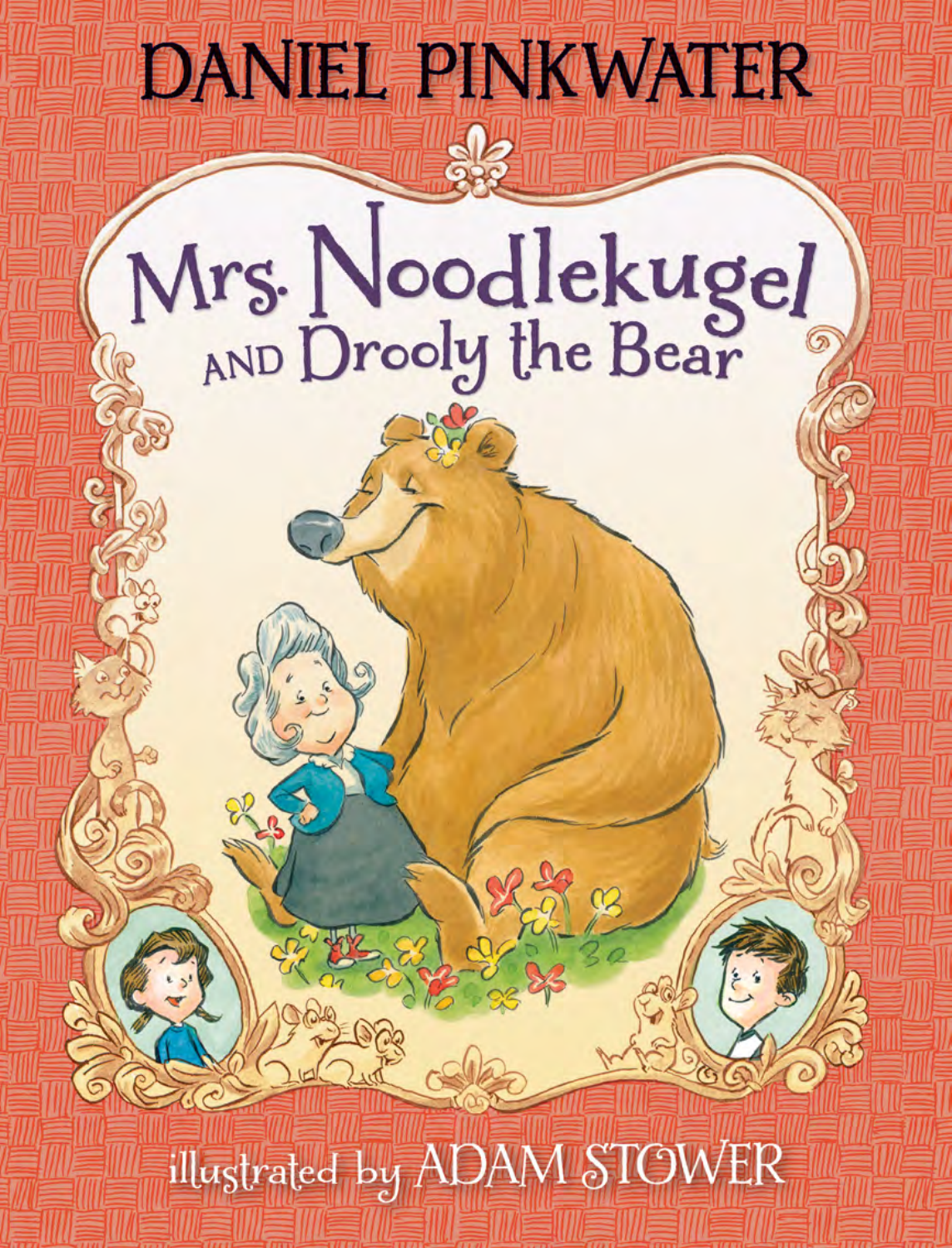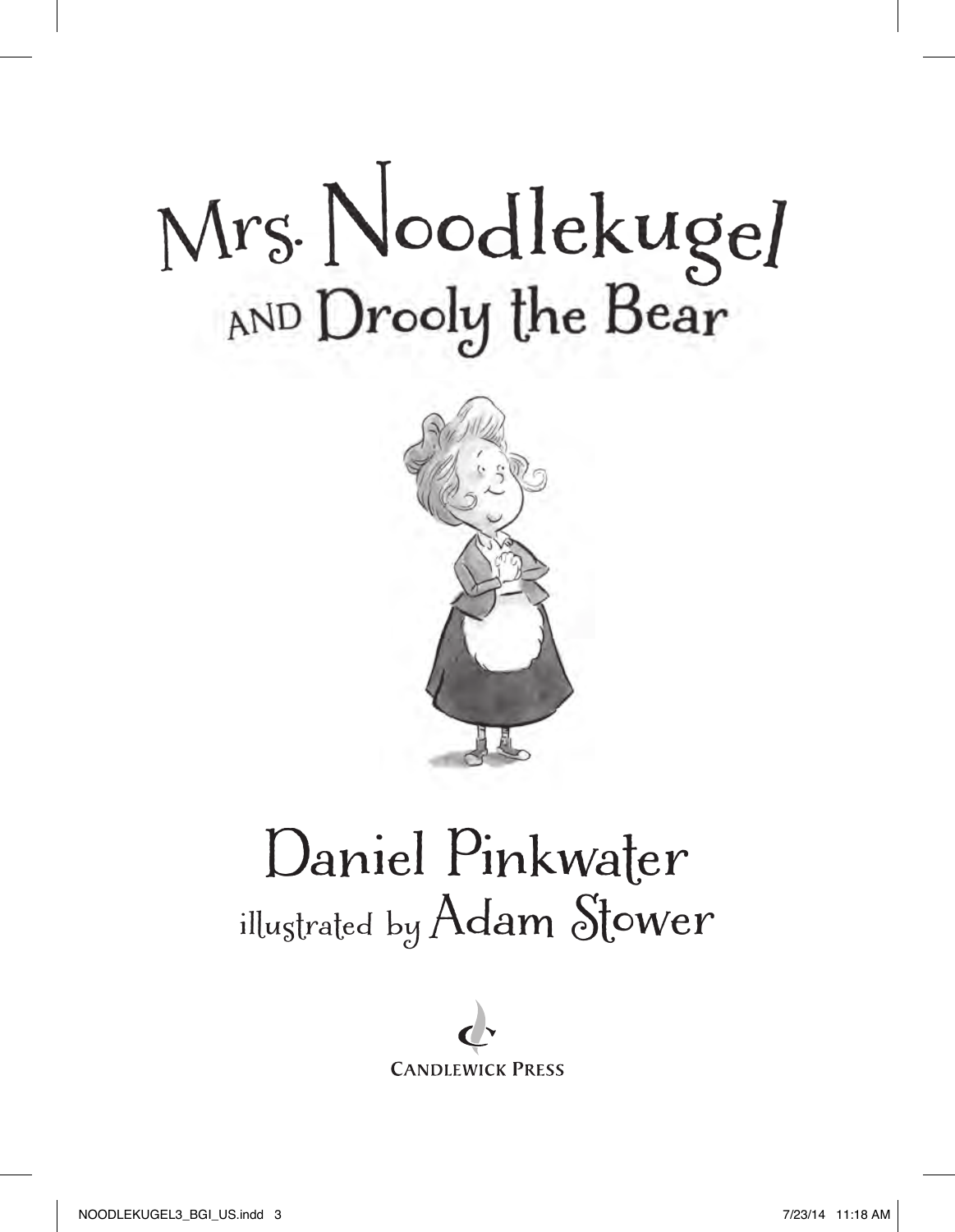## Mrs. Noodlekugel



## Daniel Pinkwater illustrated by Adam Stower

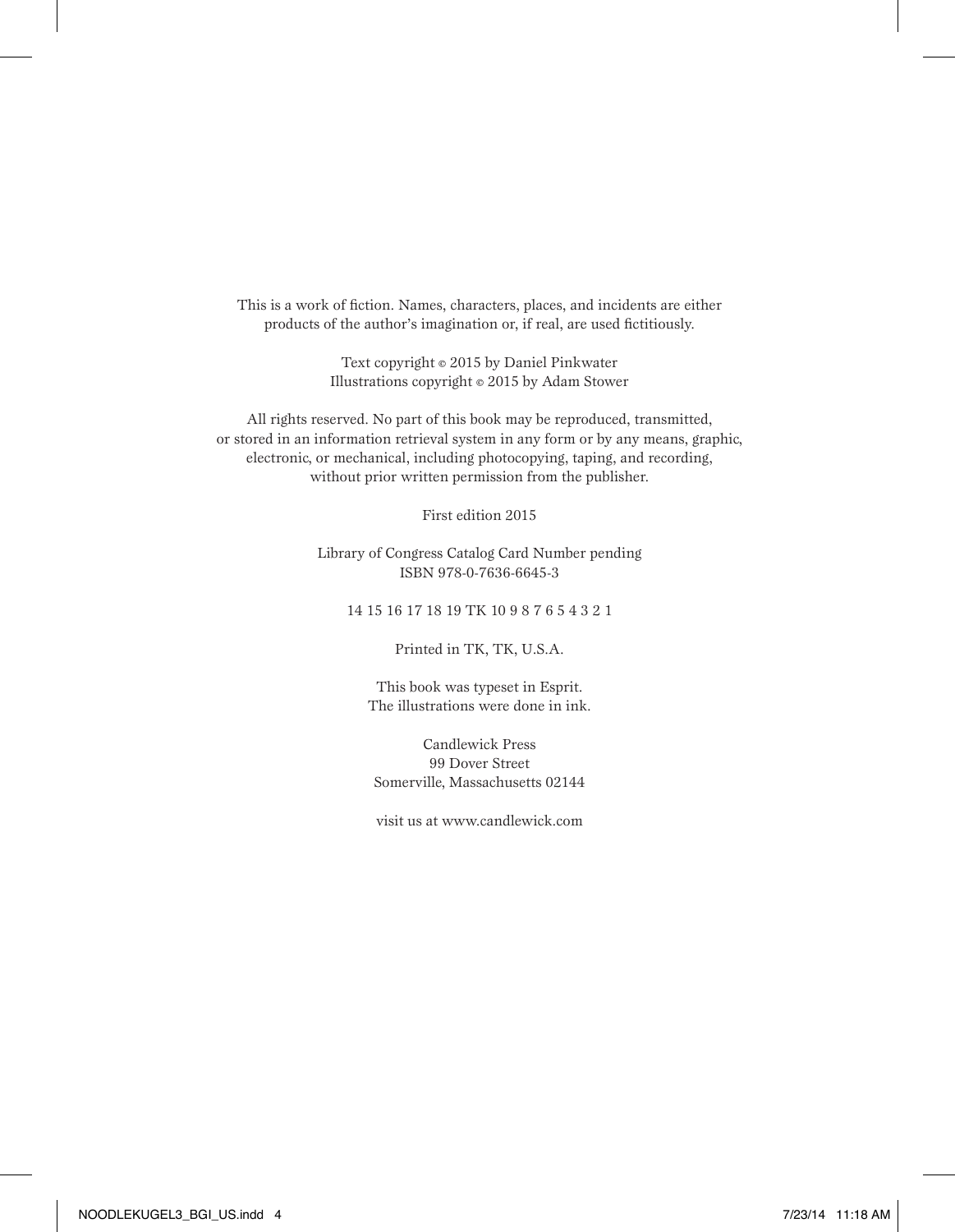This is a work of fiction. Names, characters, places, and incidents are either products of the author's imagination or, if real, are used fictitiously.

> Text copyright © 2015 by Daniel Pinkwater Illustrations copyright © 2015 by Adam Stower

All rights reserved. No part of this book may be reproduced, transmitted, or stored in an information retrieval system in any form or by any means, graphic, electronic, or mechanical, including photocopying, taping, and recording, without prior written permission from the publisher.

First edition 2015

Library of Congress Catalog Card Number pending ISBN 978-0-7636-6645-3

14 15 16 17 18 19 TK 10 9 8 7 6 5 4 3 2 1

Printed in TK, TK, U.S.A.

This book was typeset in Esprit. The illustrations were done in ink.

Candlewick Press 99 Dover Street Somerville, Massachusetts 02144

visit us at www.candlewick.com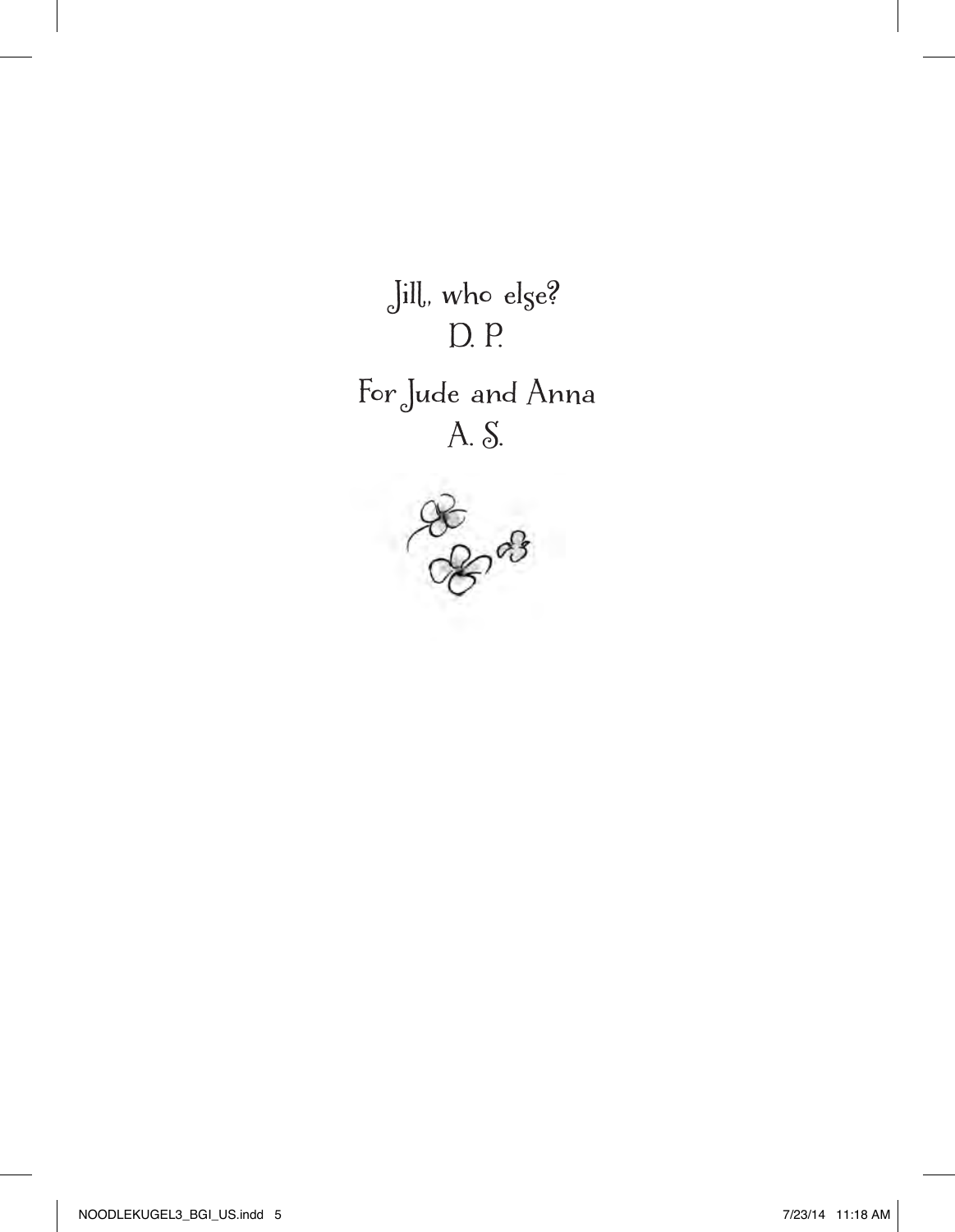Jill,, who else? D. P. For Jude and Anna A. S.

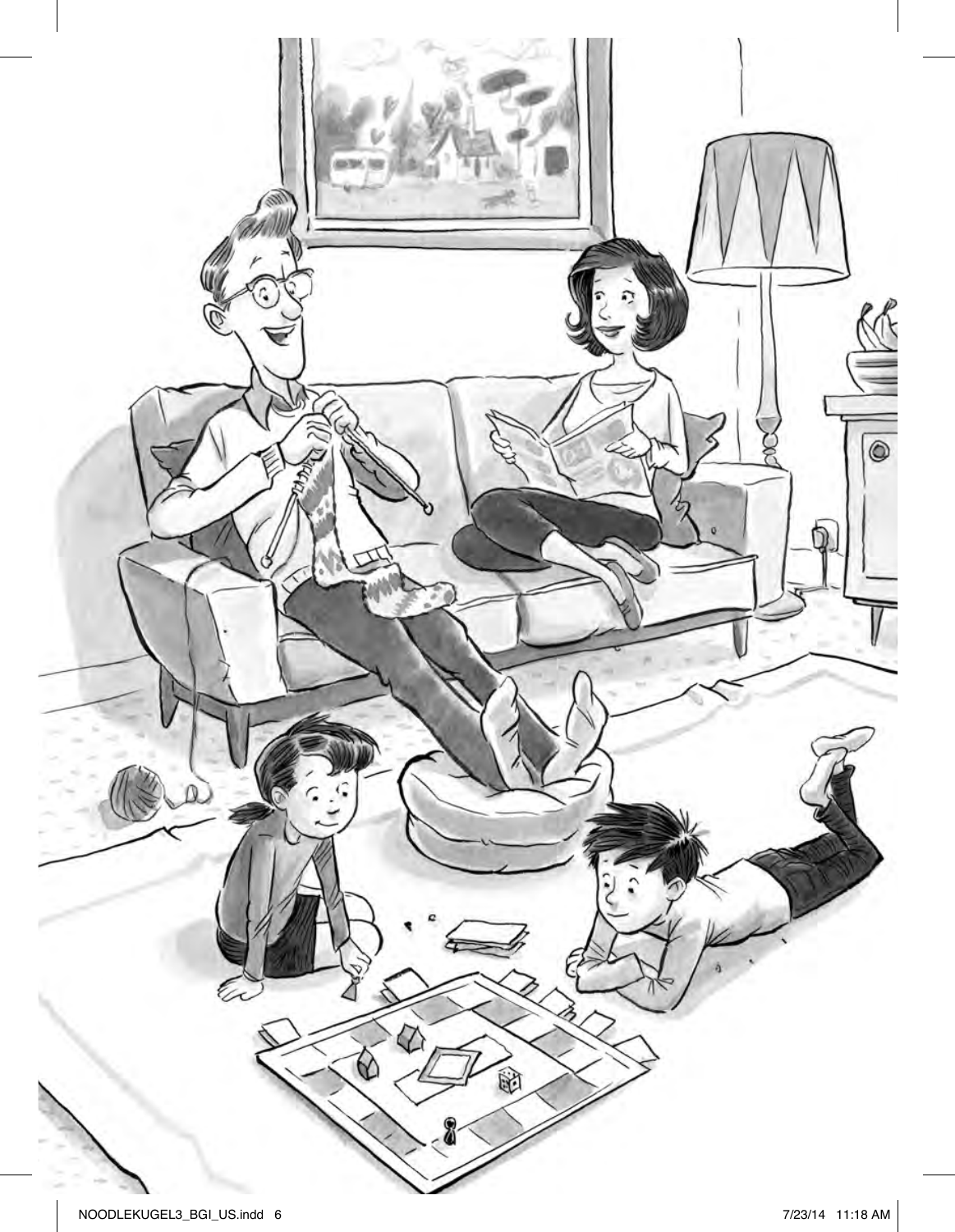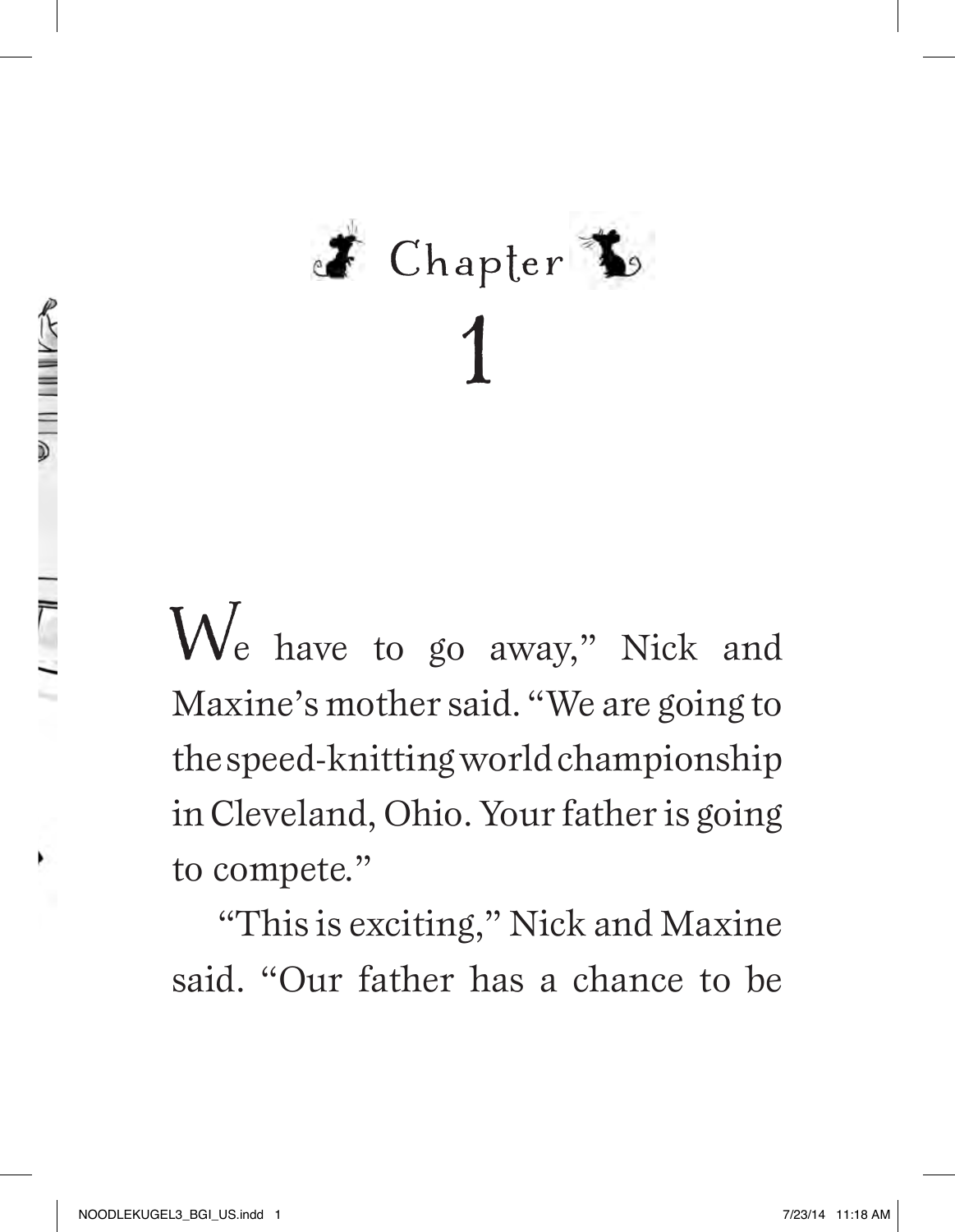

We have to go away," Nick and Maxine's mother said. "We are going to the speed-knitting world championship in Cleveland, Ohio. Your father is going to compete."

"This is exciting," Nick and Maxine said. "Our father has a chance to be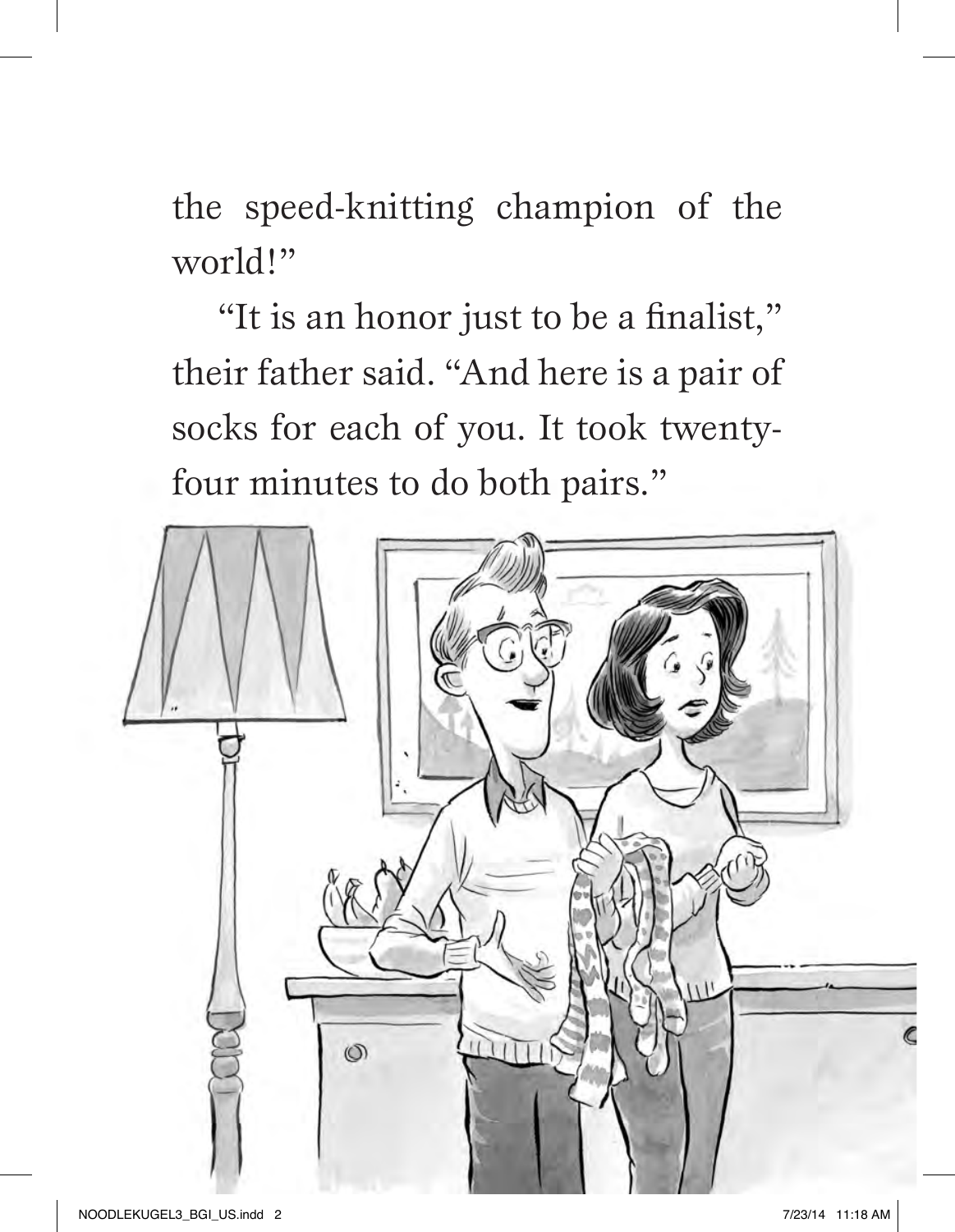the speed-knitting champion of the world!"

"It is an honor just to be a finalist," their father said. "And here is a pair of socks for each of you. It took twentyfour minutes to do both pairs."

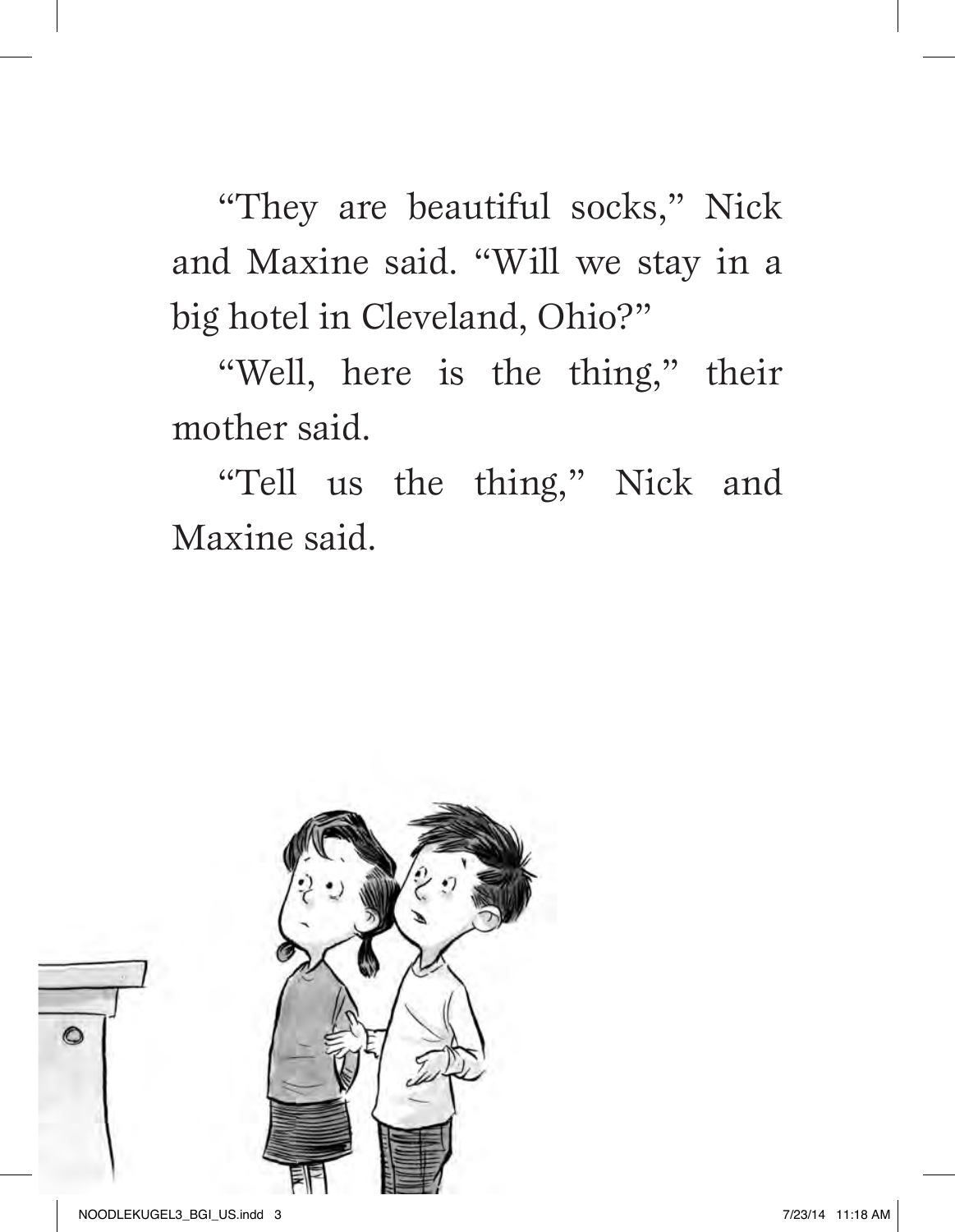"They are beautiful socks," Nick and Maxine said. "Will we stay in a big hotel in Cleveland, Ohio?"

"Well, here is the thing," their mother said.

"Tell us the thing," Nick and Maxine said.



 $\circ$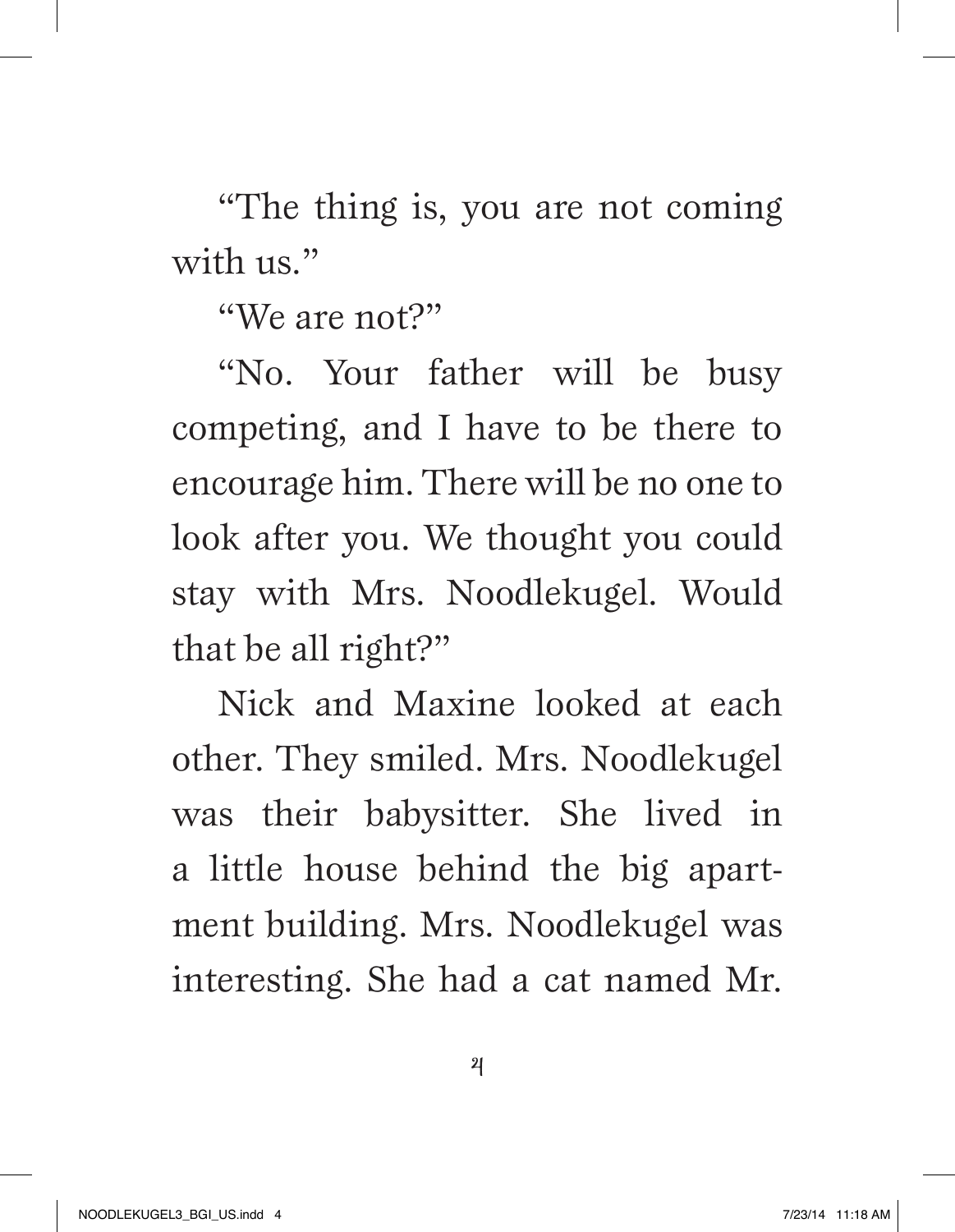"The thing is, you are not coming with us."

"We are not?"

"No. Your father will be busy competing, and I have to be there to encourage him. There will be no one to look after you. We thought you could stay with Mrs. Noodlekugel. Would that be all right?"

Nick and Maxine looked at each other. They smiled. Mrs. Noodlekugel was their babysitter. She lived in a little house behind the big apartment building. Mrs. Noodlekugel was interesting. She had a cat named Mr.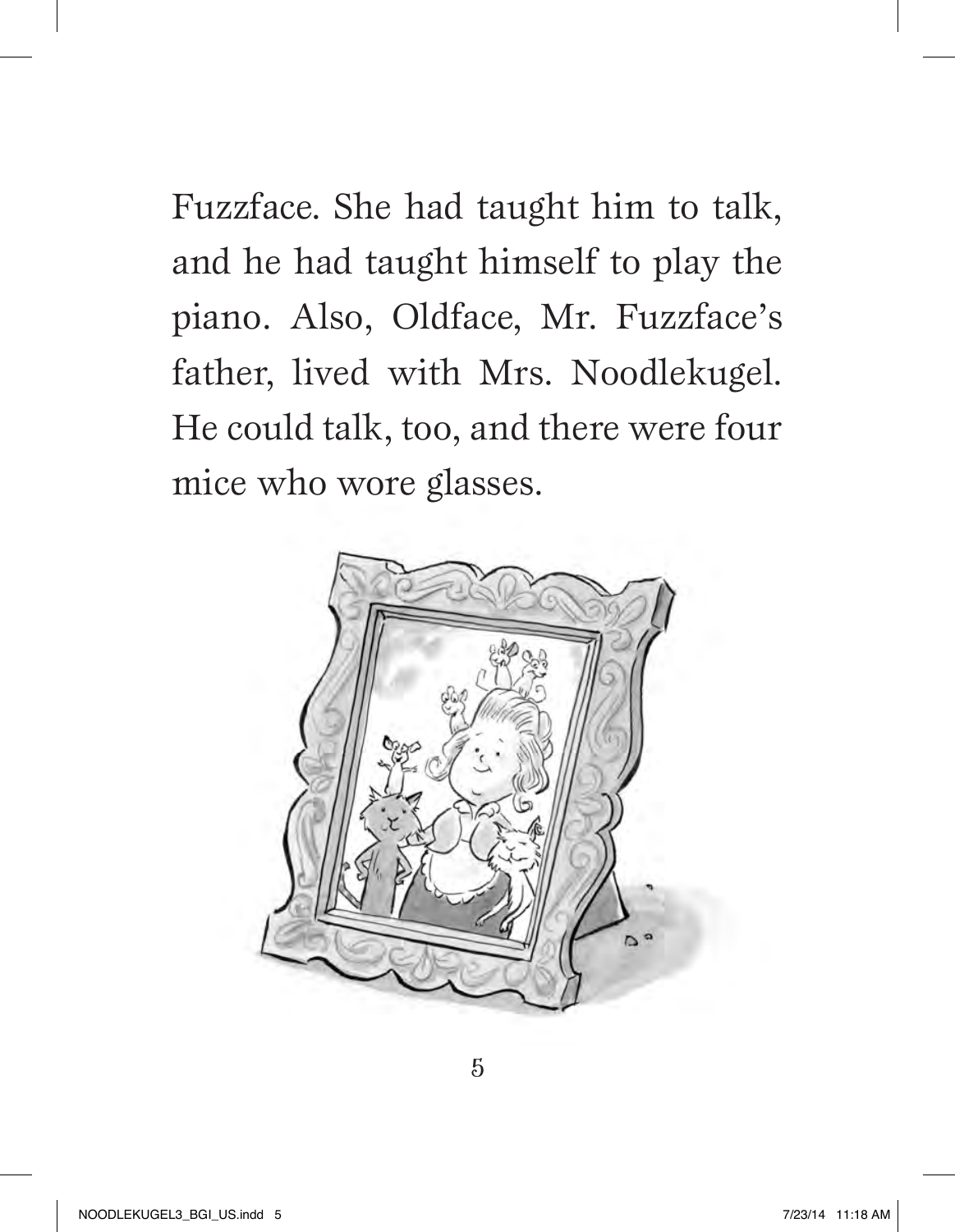Fuzzface. She had taught him to talk, and he had taught himself to play the piano. Also, Oldface, Mr. Fuzzface's father, lived with Mrs. Noodlekugel. He could talk, too, and there were four mice who wore glasses.

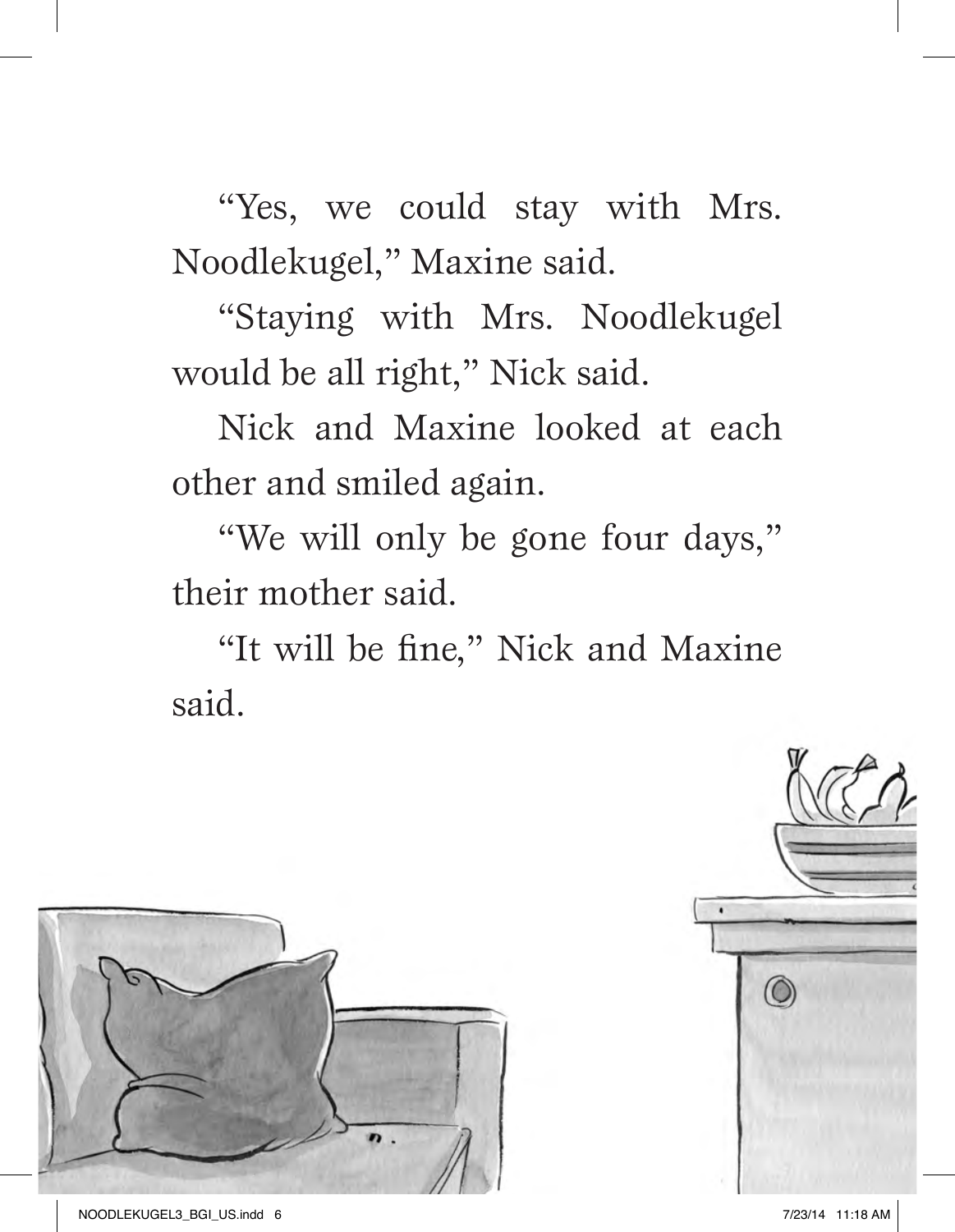"Yes, we could stay with Mrs. Noodlekugel," Maxine said.

"Staying with Mrs. Noodlekugel would be all right," Nick said.

Nick and Maxine looked at each other and smiled again.

"We will only be gone four days," their mother said.

"It will be fine," Nick and Maxine said.



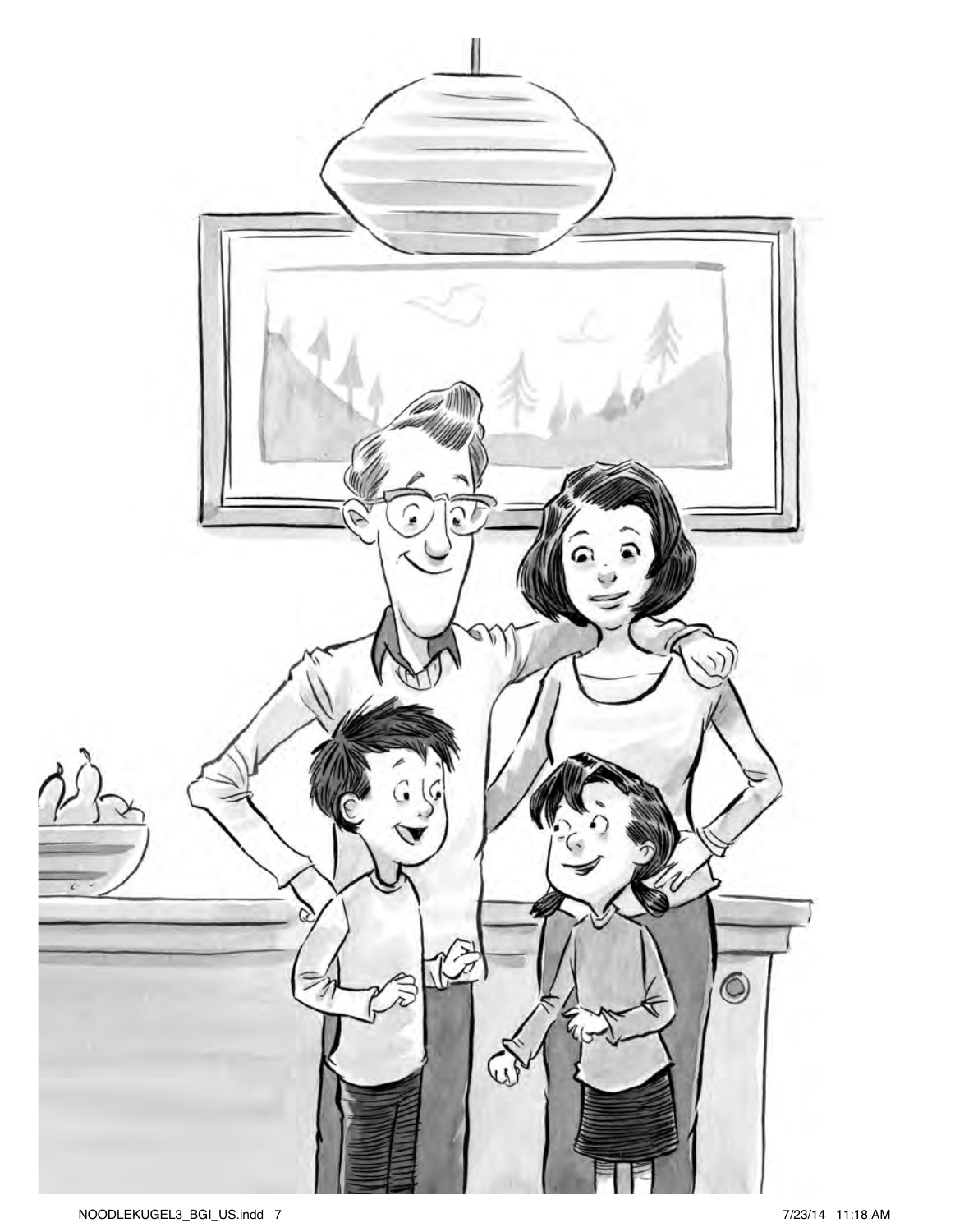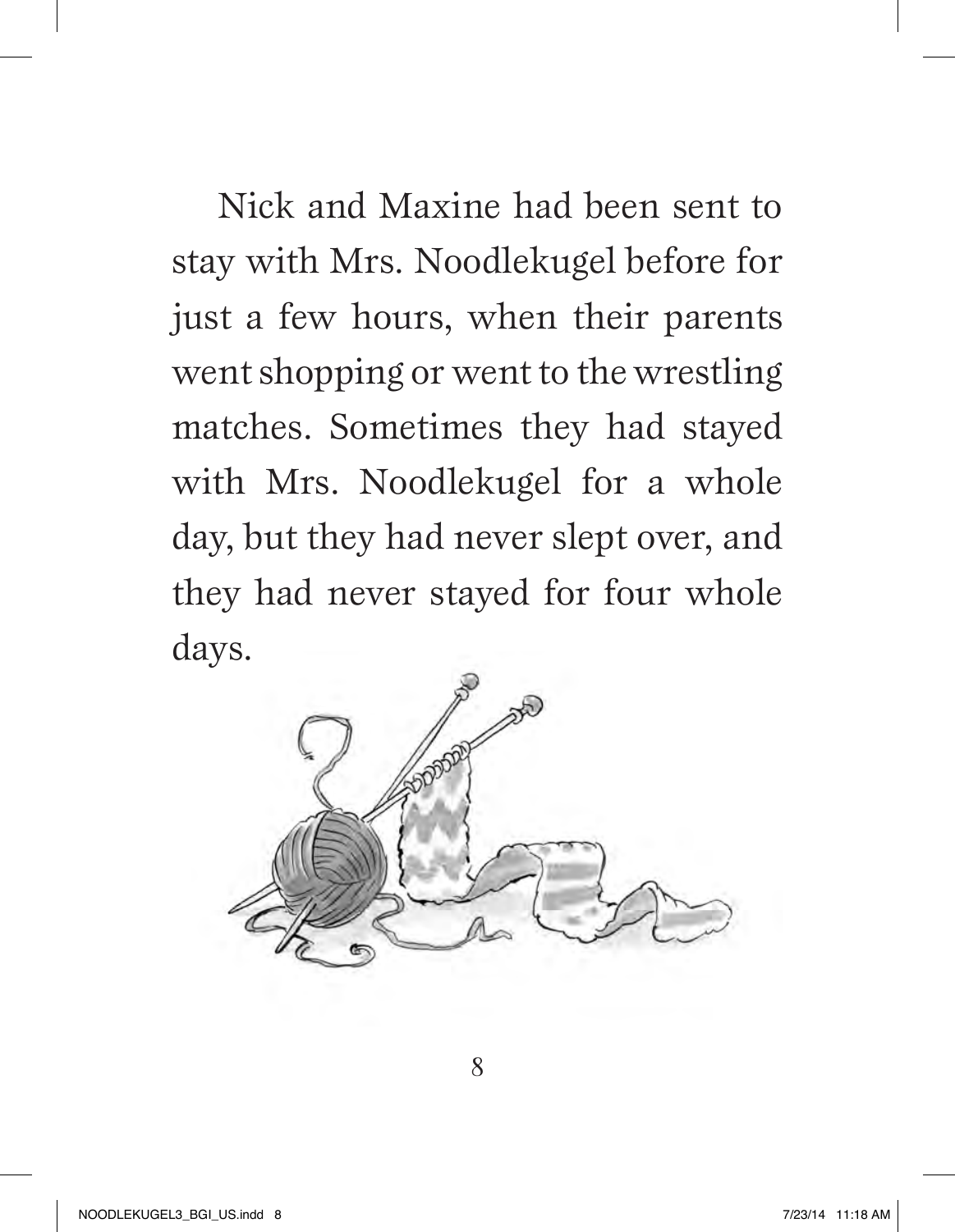Nick and Maxine had been sent to stay with Mrs. Noodlekugel before for just a few hours, when their parents went shopping or went to the wrestling matches. Sometimes they had stayed with Mrs. Noodlekugel for a whole day, but they had never slept over, and they had never stayed for four whole days.